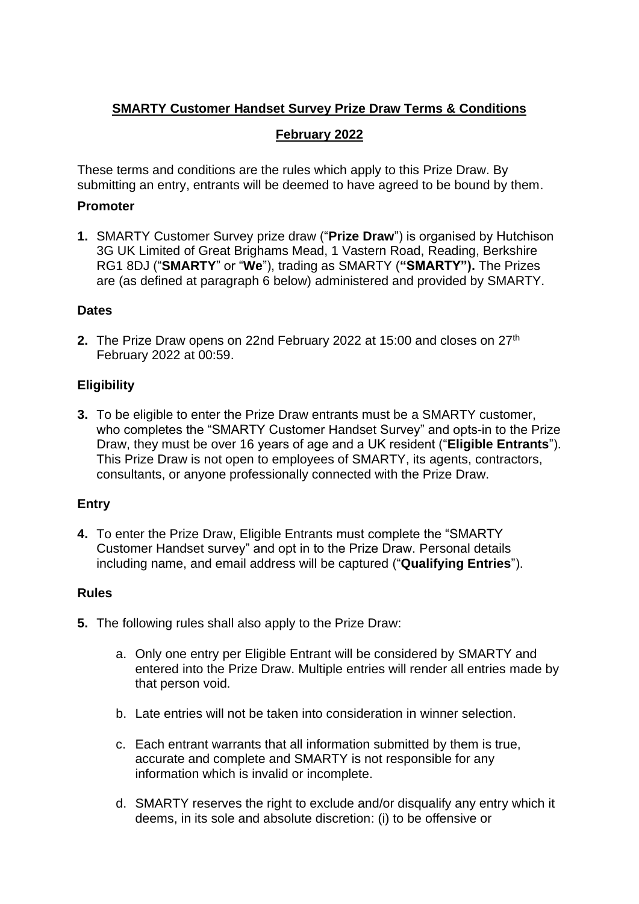# **SMARTY Customer Handset Survey Prize Draw Terms & Conditions**

## **February 2022**

These terms and conditions are the rules which apply to this Prize Draw. By submitting an entry, entrants will be deemed to have agreed to be bound by them.

#### **Promoter**

**1.** SMARTY Customer Survey prize draw ("**Prize Draw**") is organised by Hutchison 3G UK Limited of Great Brighams Mead, 1 Vastern Road, Reading, Berkshire RG1 8DJ ("**SMARTY**" or "**We**"), trading as SMARTY (**"SMARTY").** The Prizes are (as defined at paragraph 6 below) administered and provided by SMARTY.

#### **Dates**

**2.** The Prize Draw opens on 22nd February 2022 at 15:00 and closes on 27<sup>th</sup> February 2022 at 00:59.

## **Eligibility**

**3.** To be eligible to enter the Prize Draw entrants must be a SMARTY customer, who completes the "SMARTY Customer Handset Survey" and opts-in to the Prize Draw, they must be over 16 years of age and a UK resident ("**Eligible Entrants**"). This Prize Draw is not open to employees of SMARTY, its agents, contractors, consultants, or anyone professionally connected with the Prize Draw.

## **Entry**

**4.** To enter the Prize Draw, Eligible Entrants must complete the "SMARTY Customer Handset survey" and opt in to the Prize Draw. Personal details including name, and email address will be captured ("**Qualifying Entries**").

## **Rules**

- **5.** The following rules shall also apply to the Prize Draw:
	- a. Only one entry per Eligible Entrant will be considered by SMARTY and entered into the Prize Draw. Multiple entries will render all entries made by that person void.
	- b. Late entries will not be taken into consideration in winner selection.
	- c. Each entrant warrants that all information submitted by them is true, accurate and complete and SMARTY is not responsible for any information which is invalid or incomplete.
	- d. SMARTY reserves the right to exclude and/or disqualify any entry which it deems, in its sole and absolute discretion: (i) to be offensive or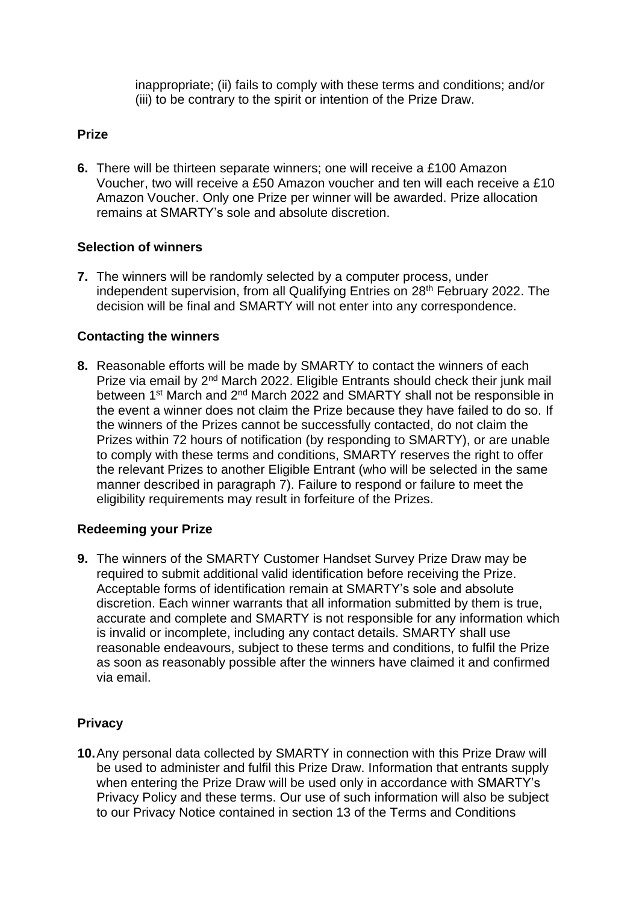inappropriate; (ii) fails to comply with these terms and conditions; and/or (iii) to be contrary to the spirit or intention of the Prize Draw.

## **Prize**

**6.** There will be thirteen separate winners; one will receive a £100 Amazon Voucher, two will receive a £50 Amazon voucher and ten will each receive a £10 Amazon Voucher. Only one Prize per winner will be awarded. Prize allocation remains at SMARTY's sole and absolute discretion.

## **Selection of winners**

**7.** The winners will be randomly selected by a computer process, under independent supervision, from all Qualifying Entries on 28<sup>th</sup> February 2022. The decision will be final and SMARTY will not enter into any correspondence.

#### **Contacting the winners**

**8.** Reasonable efforts will be made by SMARTY to contact the winners of each Prize via email by 2<sup>nd</sup> March 2022. Eligible Entrants should check their junk mail between 1<sup>st</sup> March and 2<sup>nd</sup> March 2022 and SMARTY shall not be responsible in the event a winner does not claim the Prize because they have failed to do so. If the winners of the Prizes cannot be successfully contacted, do not claim the Prizes within 72 hours of notification (by responding to SMARTY), or are unable to comply with these terms and conditions, SMARTY reserves the right to offer the relevant Prizes to another Eligible Entrant (who will be selected in the same manner described in paragraph 7). Failure to respond or failure to meet the eligibility requirements may result in forfeiture of the Prizes.

#### **Redeeming your Prize**

**9.** The winners of the SMARTY Customer Handset Survey Prize Draw may be required to submit additional valid identification before receiving the Prize. Acceptable forms of identification remain at SMARTY's sole and absolute discretion. Each winner warrants that all information submitted by them is true, accurate and complete and SMARTY is not responsible for any information which is invalid or incomplete, including any contact details. SMARTY shall use reasonable endeavours, subject to these terms and conditions, to fulfil the Prize as soon as reasonably possible after the winners have claimed it and confirmed via email.

## **Privacy**

**10.**Any personal data collected by SMARTY in connection with this Prize Draw will be used to administer and fulfil this Prize Draw. Information that entrants supply when entering the Prize Draw will be used only in accordance with SMARTY's Privacy Policy and these terms. Our use of such information will also be subject to our Privacy Notice contained in section 13 of the Terms and Conditions